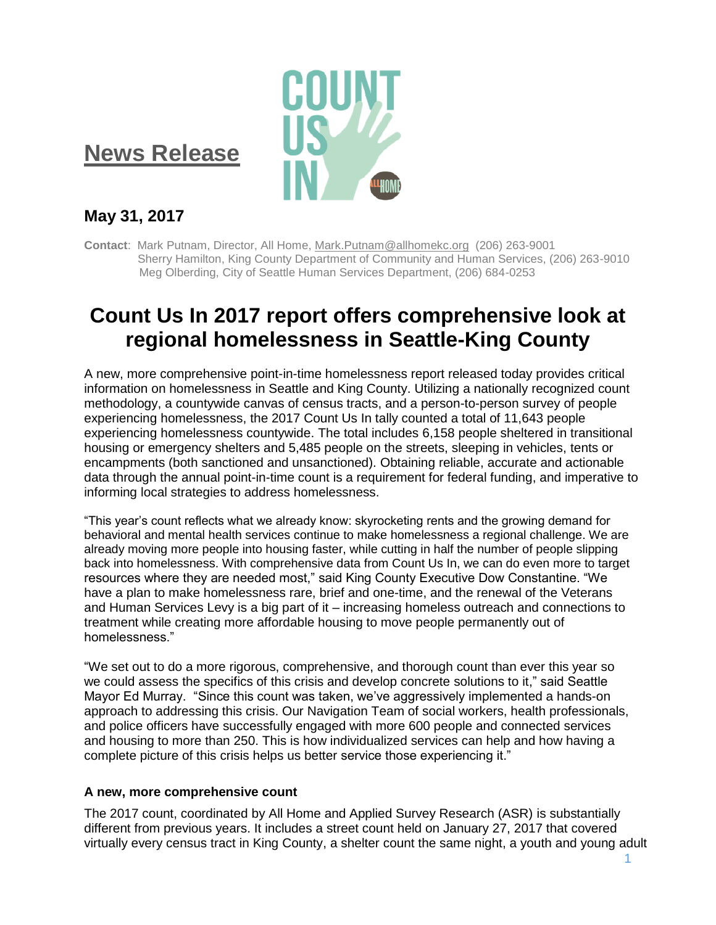## **News Release**



### **May 31, 2017**

**Contact**: Mark Putnam, Director, All Home, [Mark.Putnam@allhomekc.org](mailto:Mark.Putnam@allhomekc.org) (206) 263-9001 Sherry Hamilton, King County Department of Community and Human Services, (206) 263-9010 Meg Olberding, City of Seattle Human Services Department, (206) 684-0253

# **Count Us In 2017 report offers comprehensive look at regional homelessness in Seattle-King County**

A new, more comprehensive point-in-time homelessness report released today provides critical information on homelessness in Seattle and King County. Utilizing a nationally recognized count methodology, a countywide canvas of census tracts, and a person-to-person survey of people experiencing homelessness, the 2017 Count Us In tally counted a total of 11,643 people experiencing homelessness countywide. The total includes 6,158 people sheltered in transitional housing or emergency shelters and 5,485 people on the streets, sleeping in vehicles, tents or encampments (both sanctioned and unsanctioned). Obtaining reliable, accurate and actionable data through the annual point-in-time count is a requirement for federal funding, and imperative to informing local strategies to address homelessness.

"This year's count reflects what we already know: skyrocketing rents and the growing demand for behavioral and mental health services continue to make homelessness a regional challenge. We are already moving more people into housing faster, while cutting in half the number of people slipping back into homelessness. With comprehensive data from Count Us In, we can do even more to target resources where they are needed most," said King County Executive Dow Constantine. "We have a plan to make homelessness rare, brief and one-time, and the renewal of the Veterans and Human Services Levy is a big part of it – increasing homeless outreach and connections to treatment while creating more affordable housing to move people permanently out of homelessness."

"We set out to do a more rigorous, comprehensive, and thorough count than ever this year so we could assess the specifics of this crisis and develop concrete solutions to it," said Seattle Mayor Ed Murray. "Since this count was taken, we've aggressively implemented a hands-on approach to addressing this crisis. Our Navigation Team of social workers, health professionals, and police officers have successfully engaged with more 600 people and connected services and housing to more than 250. This is how individualized services can help and how having a complete picture of this crisis helps us better service those experiencing it."

#### **A new, more comprehensive count**

The 2017 count, coordinated by All Home and Applied Survey Research (ASR) is substantially different from previous years. It includes a street count held on January 27, 2017 that covered virtually every census tract in King County, a shelter count the same night, a youth and young adult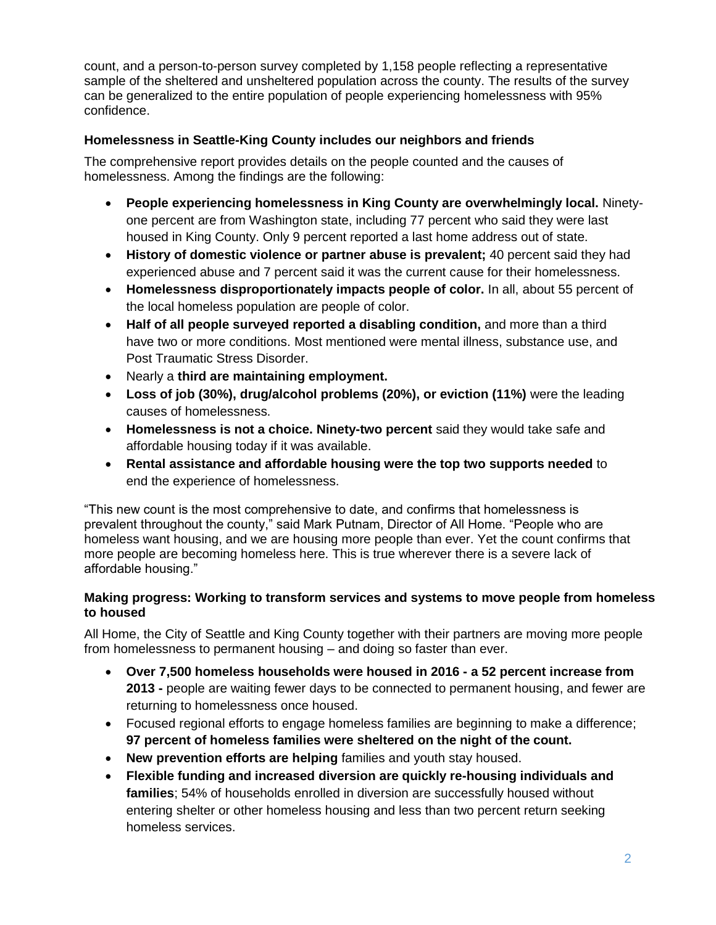count, and a person-to-person survey completed by 1,158 people reflecting a representative sample of the sheltered and unsheltered population across the county. The results of the survey can be generalized to the entire population of people experiencing homelessness with 95% confidence.

### **Homelessness in Seattle-King County includes our neighbors and friends**

The comprehensive report provides details on the people counted and the causes of homelessness. Among the findings are the following:

- **People experiencing homelessness in King County are overwhelmingly local.** Ninetyone percent are from Washington state, including 77 percent who said they were last housed in King County. Only 9 percent reported a last home address out of state.
- **History of domestic violence or partner abuse is prevalent;** 40 percent said they had experienced abuse and 7 percent said it was the current cause for their homelessness.
- **Homelessness disproportionately impacts people of color.** In all, about 55 percent of the local homeless population are people of color.
- **Half of all people surveyed reported a disabling condition,** and more than a third have two or more conditions. Most mentioned were mental illness, substance use, and Post Traumatic Stress Disorder.
- Nearly a **third are maintaining employment.**
- **Loss of job (30%), drug/alcohol problems (20%), or eviction (11%)** were the leading causes of homelessness.
- **Homelessness is not a choice. Ninety-two percent** said they would take safe and affordable housing today if it was available.
- **Rental assistance and affordable housing were the top two supports needed** to end the experience of homelessness.

"This new count is the most comprehensive to date, and confirms that homelessness is prevalent throughout the county," said Mark Putnam, Director of All Home. "People who are homeless want housing, and we are housing more people than ever. Yet the count confirms that more people are becoming homeless here. This is true wherever there is a severe lack of affordable housing."

#### **Making progress: Working to transform services and systems to move people from homeless to housed**

All Home, the City of Seattle and King County together with their partners are moving more people from homelessness to permanent housing – and doing so faster than ever.

- **Over 7,500 homeless households were housed in 2016 - a 52 percent increase from 2013 -** people are waiting fewer days to be connected to permanent housing, and fewer are returning to homelessness once housed.
- Focused regional efforts to engage homeless families are beginning to make a difference; **97 percent of homeless families were sheltered on the night of the count.**
- **New prevention efforts are helping** families and youth stay housed.
- **Flexible funding and increased diversion are quickly re-housing individuals and families**; 54% of households enrolled in diversion are successfully housed without entering shelter or other homeless housing and less than two percent return seeking homeless services.